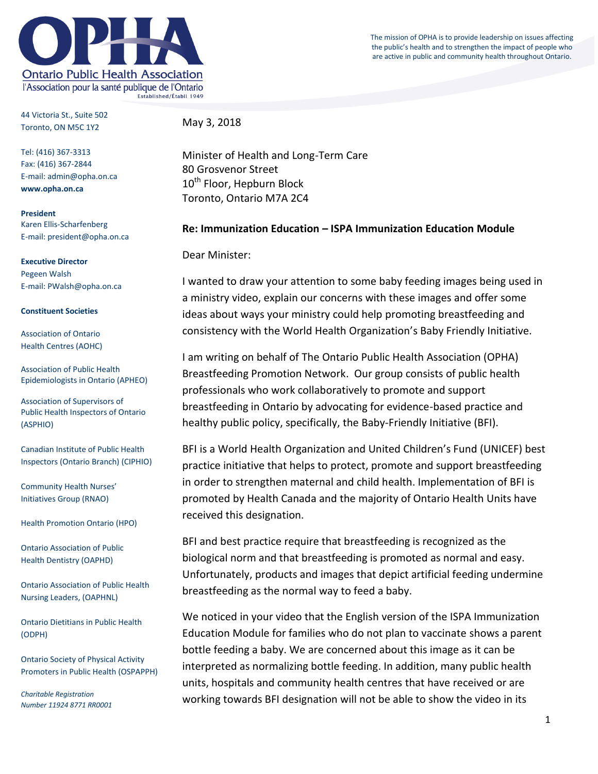The mission of OPHA is to provide leadership on issues affecting the public's health and to strengthen the impact of people who are active in public and community health throughout Ontario.



44 Victoria St., Suite 502 Toronto, ON M5C 1Y2

May 3, 2018

Tel: (416) 367-3313 Fax: (416) 367-2844 E-mail: admin@opha.on.ca **www.opha.on.ca**

**President** Karen Ellis-Scharfenberg E-mail: president@opha.on.ca

**Executive Director** Pegeen Walsh E-mail: PWalsh@opha.on.ca

## **Constituent Societies**

Association of Ontario Health Centres (AOHC)

Association of Public Health Epidemiologists in Ontario (APHEO)

Association of Supervisors of Public Health Inspectors of Ontario (ASPHIO)

Canadian Institute of Public Health Inspectors (Ontario Branch) (CIPHIO)

Community Health Nurses' Initiatives Group (RNAO)

Health Promotion Ontario (HPO)

Ontario Association of Public Health Dentistry (OAPHD)

Ontario Association of Public Health Nursing Leaders, (OAPHNL)

Ontario Dietitians in Public Health (ODPH)

Ontario Society of Physical Activity Promoters in Public Health (OSPAPPH)

*Charitable Registration Number 11924 8771 RR0001* Minister of Health and Long-Term Care 80 Grosvenor Street 10<sup>th</sup> Floor, Hepburn Block Toronto, Ontario M7A 2C4

## **Re: Immunization Education – ISPA Immunization Education Module**

Dear Minister:

I wanted to draw your attention to some baby feeding images being used in a ministry video, explain our concerns with these images and offer some ideas about ways your ministry could help promoting breastfeeding and consistency with the World Health Organization's Baby Friendly Initiative.

I am writing on behalf of The Ontario Public Health Association (OPHA) Breastfeeding Promotion Network. Our group consists of public health professionals who work collaboratively to promote and support breastfeeding in Ontario by advocating for evidence-based practice and healthy public policy, specifically, the Baby-Friendly Initiative (BFI).

BFI is a World Health Organization and United Children's Fund (UNICEF) best practice initiative that helps to protect, promote and support breastfeeding in order to strengthen maternal and child health. Implementation of BFI is promoted by Health Canada and the majority of Ontario Health Units have received this designation.

BFI and best practice require that breastfeeding is recognized as the biological norm and that breastfeeding is promoted as normal and easy. Unfortunately, products and images that depict artificial feeding undermine breastfeeding as the normal way to feed a baby.

We noticed in your video that the English version of the ISPA Immunization Education Module for families who do not plan to vaccinate shows a parent bottle feeding a baby. We are concerned about this image as it can be interpreted as normalizing bottle feeding. In addition, many public health units, hospitals and community health centres that have received or are working towards BFI designation will not be able to show the video in its